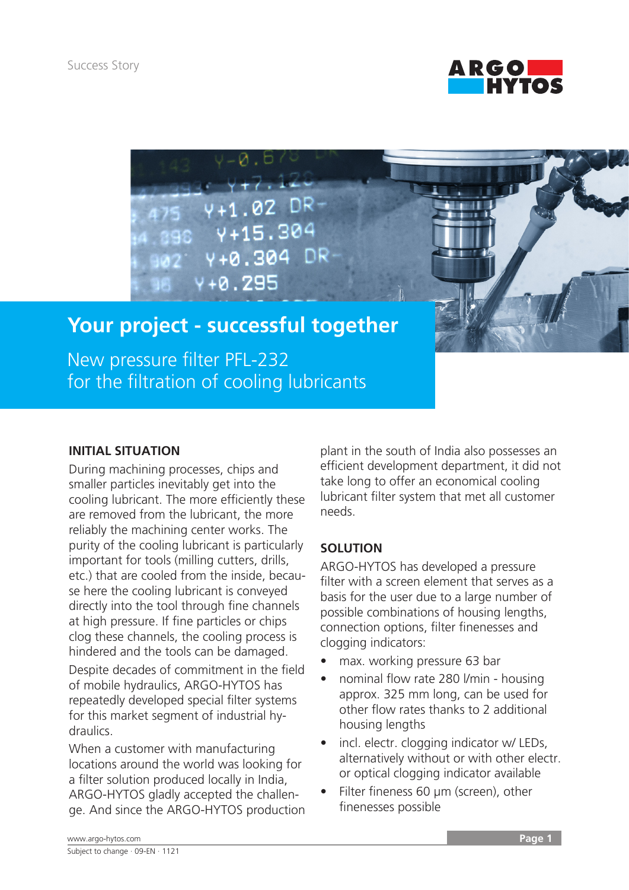



# **Your project - successful together**

New pressure filter PFL-232 for the filtration of cooling lubricants

## **INITIAL SITUATION**

During machining processes, chips and smaller particles inevitably get into the cooling lubricant. The more efficiently these are removed from the lubricant, the more reliably the machining center works. The purity of the cooling lubricant is particularly important for tools (milling cutters, drills, etc.) that are cooled from the inside, because here the cooling lubricant is conveyed directly into the tool through fine channels at high pressure. If fine particles or chips clog these channels, the cooling process is hindered and the tools can be damaged.

Despite decades of commitment in the field of mobile hydraulics, ARGO-HYTOS has repeatedly developed special filter systems for this market segment of industrial hydraulics.

When a customer with manufacturing locations around the world was looking for a filter solution produced locally in India, ARGO-HYTOS gladly accepted the challenge. And since the ARGO-HYTOS production

plant in the south of India also possesses an efficient development department, it did not take long to offer an economical cooling lubricant filter system that met all customer needs.

#### **SOLUTION**

ARGO-HYTOS has developed a pressure filter with a screen element that serves as a basis for the user due to a large number of possible combinations of housing lengths, connection options, filter finenesses and clogging indicators:

- max. working pressure 63 bar
- nominal flow rate 280 l/min housing approx. 325 mm long, can be used for other flow rates thanks to 2 additional housing lengths
- incl. electr. clogging indicator w/ LEDs, alternatively without or with other electr. or optical clogging indicator available
- Filter fineness 60 µm (screen), other finenesses possible